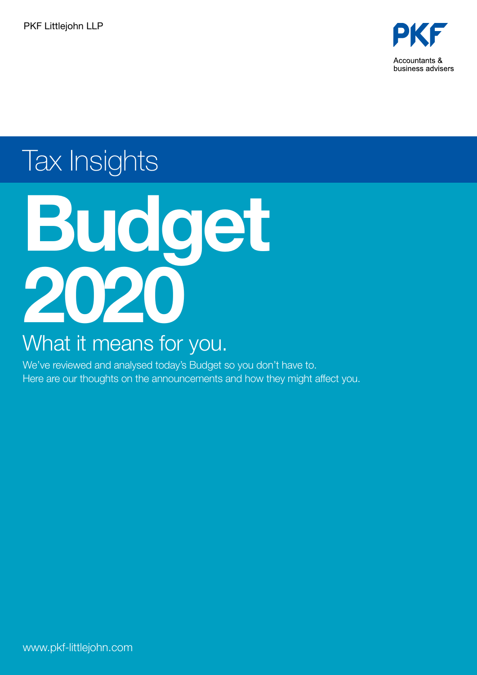

# Tax Insights



# What it means for you.

We've reviewed and analysed today's Budget so you don't have to. Here are our thoughts on the announcements and how they might affect you.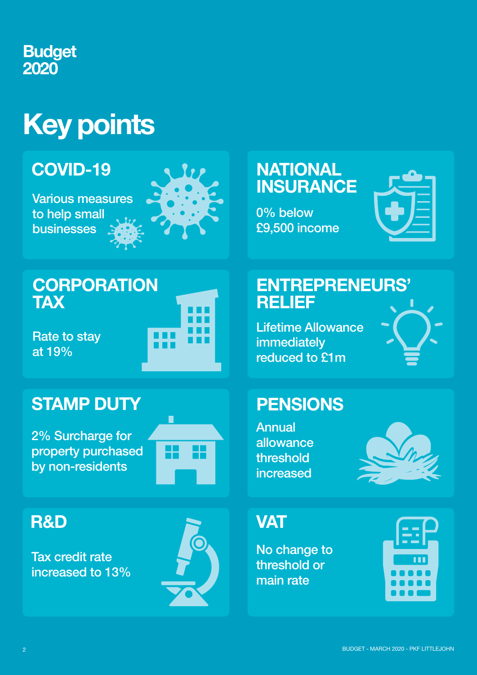# **Budget** 2020

# Key points

# COVID-19

Various measures to help small businesses



ш

# **NATIONAL INSURANCE**

0% below £9,500 income



# **CORPORATION TAX**

Rate to stay at 19%

# STAMP DUTY

2% Surcharge for property purchased by non-residents



# R&D

Tax credit rate increased to 13%



# ENTREPRENEURS' RELIEF

Lifetime Allowance immediately reduced to £1m



Annual allowance threshold increased



# **VAT**

No change to threshold or main rate

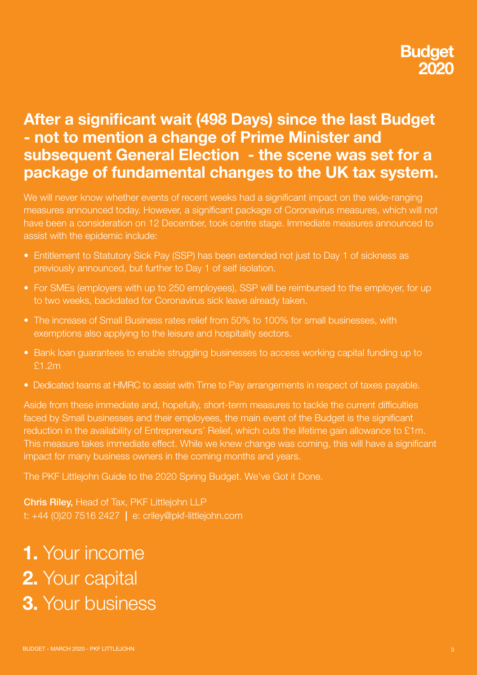# After a significant wait (498 Days) since the last Budget - not to mention a change of Prime Minister and subsequent General Election - the scene was set for a package of fundamental changes to the UK tax system.

We will never know whether events of recent weeks had a significant impact on the wide-ranging measures announced today. However, a significant package of Coronavirus measures, which will not have been a consideration on 12 December, took centre stage. Immediate measures announced to assist with the epidemic include:

- Entitlement to Statutory Sick Pay (SSP) has been extended not just to Day 1 of sickness as previously announced, but further to Day 1 of self isolation.
- For SMEs (employers with up to 250 employees), SSP will be reimbursed to the employer, for up to two weeks, backdated for Coronavirus sick leave already taken.
- The increase of Small Business rates relief from 50% to 100% for small businesses, with exemptions also applying to the leisure and hospitality sectors.
- Bank loan guarantees to enable struggling businesses to access working capital funding up to £1.2m
- Dedicated teams at HMRC to assist with Time to Pay arrangements in respect of taxes payable.

Aside from these immediate and, hopefully, short-term measures to tackle the current difficulties faced by Small businesses and their employees, the main event of the Budget is the significant reduction in the availability of Entrepreneurs' Relief, which cuts the lifetime gain allowance to £1m. This measure takes immediate effect. While we knew change was coming, this will have a significant impact for many business owners in the coming months and years.

The PKF Littlejohn Guide to the 2020 Spring Budget. We've Got it Done.

Chris Riley, Head of Tax, PKF Littlejohn LLP t: +44 (0)20 7516 2427 | e: criley@pkf-littlejohn.com

# 1. Your income 2. Your capital 3. Your business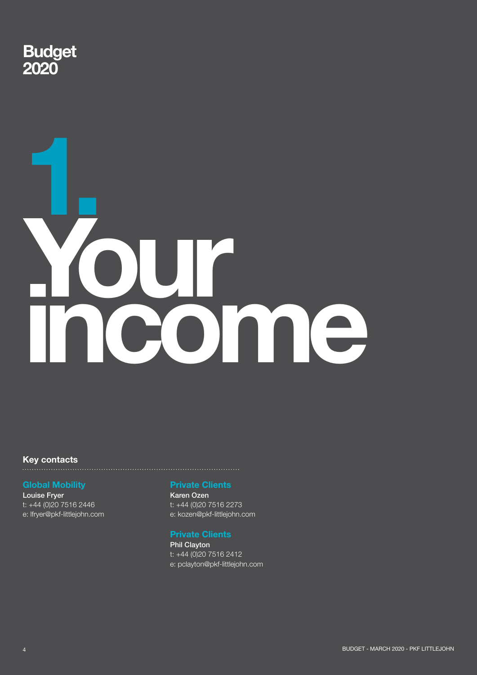

# 1. **Yonne**

# Key contacts

### Global Mobility

Louise Fryer t: +44 (0)20 7516 2446 e: lfryer@pkf-littlejohn.com

### Private Clients

Karen Ozen t: +44 (0)20 7516 2273 e: kozen@pkf-littlejohn.com

### Private Clients

Phil Clayton t: +44 (0)20 7516 2412 e: pclayton@pkf-littlejohn.com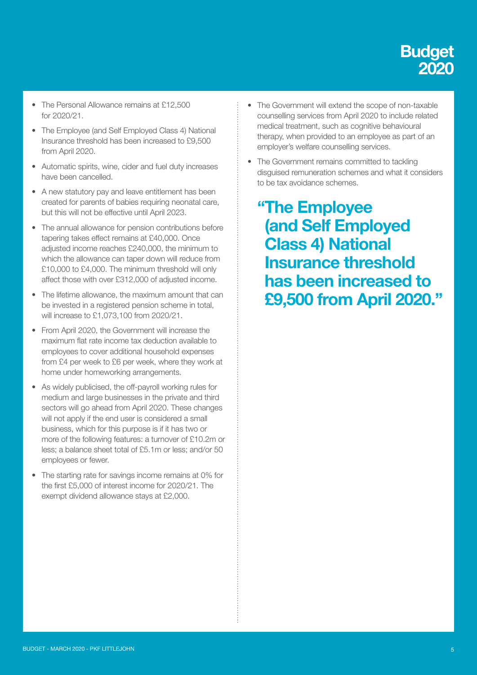

- The Personal Allowance remains at £12,500 for 2020/21.
- The Employee (and Self Employed Class 4) National Insurance threshold has been increased to £9,500 from April 2020.
- Automatic spirits, wine, cider and fuel duty increases have been cancelled.
- A new statutory pay and leave entitlement has been created for parents of babies requiring neonatal care, but this will not be effective until April 2023.
- The annual allowance for pension contributions before tapering takes effect remains at £40,000. Once adjusted income reaches £240,000, the minimum to which the allowance can taper down will reduce from £10,000 to £4,000. The minimum threshold will only affect those with over £312,000 of adjusted income.
- The lifetime allowance, the maximum amount that can be invested in a registered pension scheme in total, will increase to £1,073,100 from 2020/21.
- From April 2020, the Government will increase the maximum flat rate income tax deduction available to employees to cover additional household expenses from £4 per week to £6 per week, where they work at home under homeworking arrangements.
- As widely publicised, the off-payroll working rules for medium and large businesses in the private and third sectors will go ahead from April 2020. These changes will not apply if the end user is considered a small business, which for this purpose is if it has two or more of the following features: a turnover of £10.2m or less; a balance sheet total of £5.1m or less; and/or 50 employees or fewer.
- The starting rate for savings income remains at 0% for the first £5,000 of interest income for 2020/21. The exempt dividend allowance stays at £2,000.
- The Government will extend the scope of non-taxable counselling services from April 2020 to include related medical treatment, such as cognitive behavioural therapy, when provided to an employee as part of an employer's welfare counselling services.
- The Government remains committed to tackling disguised remuneration schemes and what it considers to be tax avoidance schemes.

"The Employee (and Self Employed Class 4) National Insurance threshold has been increased to £9,500 from April 2020."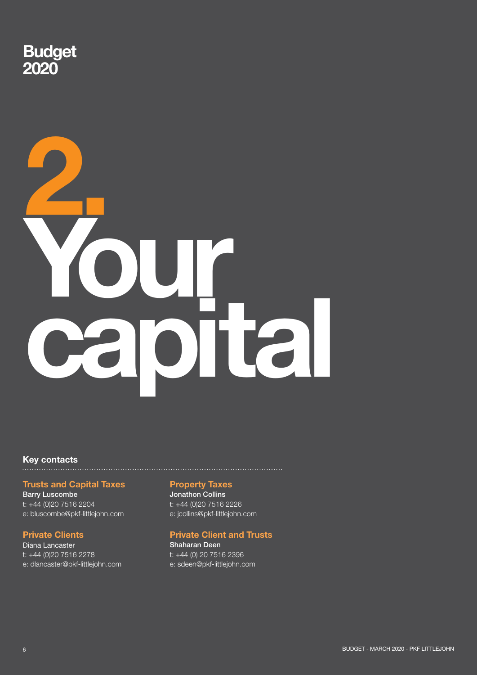

# 2. Your capital

# Key contacts

### Trusts and Capital Taxes

Barry Luscombe t: +44 (0)20 7516 2204 e: bluscombe@pkf-littlejohn.com

### Private Clients

Diana Lancaster t: +44 (0)20 7516 2278 e: dlancaster@pkf-littlejohn.com

### Property Taxes

Jonathon Collins t: +44 (0)20 7516 2226 e: jcollins@pkf-littlejohn.com

### Private Client and Trusts

Shaharan Deen t: +44 (0) 20 7516 2396 e: sdeen@pkf-littlejohn.com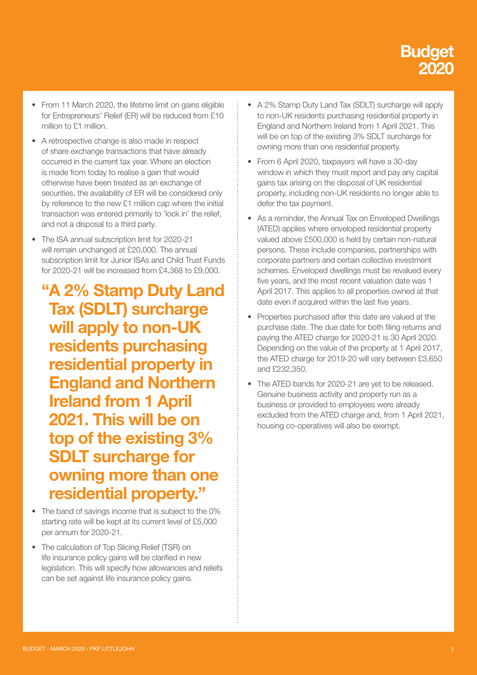

- From 11 March 2020, the lifetime limit on gains eligible for Entrepreneurs' Relief (ER) will be reduced from £10 million to £1 million.
- A retrospective change is also made in respect of share exchange transactions that have already occurred in the current tax year. Where an election is made from today to realise a gain that would otherwise have been treated as an exchange of securities, the availability of ER will be considered only by reference to the new £1 million cap where the initial transaction was entered primarily to 'lock in' the relief, and not a disposal to a third party.
- The ISA annual subscription limit for 2020-21 will remain unchanged at £20,000. The annual subscription limit for Junior ISAs and Child Trust Funds for 2020-21 will be increased from £4,368 to £9,000.
	- "A 2% Stamp Duty Land Tax (SDLT) surcharge will apply to non-UK residents purchasing residential property in England and Northern Ireland from 1 April 2021. This will be on top of the existing 3% SDLT surcharge for owning more than one residential property."
- The band of savings income that is subject to the 0% starting rate will be kept at its current level of £5,000 per annum for 2020-21.
- The calculation of Top Slicing Relief (TSR) on life insurance policy gains will be clarified in new legislation. This will specify how allowances and reliefs can be set against life insurance policy gains.
- A 2% Stamp Duty Land Tax (SDLT) surcharge will apply to non-UK residents purchasing residential property in England and Northern Ireland from 1 April 2021. This will be on top of the existing 3% SDLT surcharge for owning more than one residential property.
- From 6 April 2020, taxpayers will have a 30-day window in which they must report and pay any capital gains tax arising on the disposal of UK residential property, including non-UK residents no longer able to defer the tax payment.
- As a reminder, the Annual Tax on Enveloped Dwellings (ATED) applies where enveloped residential property valued above £500,000 is held by certain non-natural persons. These include companies, partnerships with corporate partners and certain collective investment schemes. Enveloped dwellings must be revalued every five years, and the most recent valuation date was 1 April 2017. This applies to all properties owned at that date even if acquired within the last five years.
- Properties purchased after this date are valued at the purchase date. The due date for both filing returns and paying the ATED charge for 2020-21 is 30 April 2020. Depending on the value of the property at 1 April 2017, the ATED charge for 2019-20 will vary between £3,650 and £232,350.
- The ATED bands for 2020-21 are yet to be released. Genuine business activity and property run as a business or provided to employees were already excluded from the ATED charge and, from 1 April 2021, housing co-operatives will also be exempt.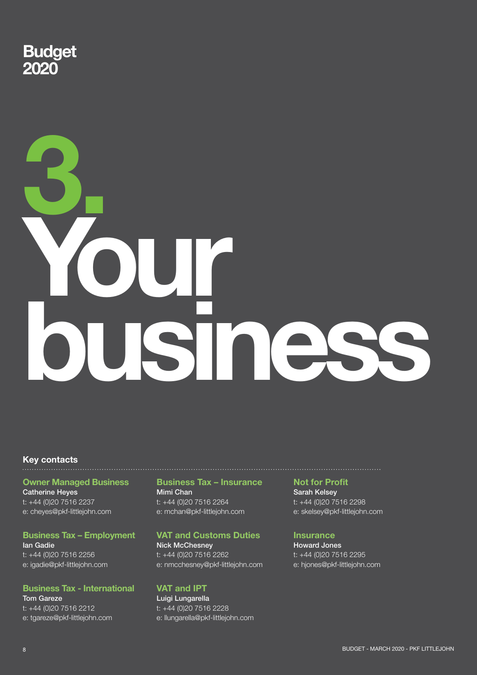

# 3. Your business

# Key contacts

### Owner Managed Business

Catherine Heyes t: +44 (0)20 7516 2237 e: cheyes@pkf-littlejohn.com

### Business Tax – Employment

Ian Gadie t: +44 (0)20 7516 2256 e: igadie@pkf-littlejohn.com

### Business Tax - International Tom Gareze t: +44 (0)20 7516 2212

e: tgareze@pkf-littlejohn.com

### Business Tax – Insurance Mimi Chan t: +44 (0)20 7516 2264 e: mchan@pkf-littlejohn.com

### VAT and Customs Duties

Nick McChesney t: +44 (0)20 7516 2262 e: nmcchesney@pkf-littlejohn.com

### VAT and IPT

Luigi Lungarella t: +44 (0)20 7516 2228 e: llungarella@pkf-littlejohn.com

### Not for Profit

Sarah Kelsey t: +44 (0)20 7516 2298 e: skelsey@pkf-littlejohn.com

### **Insurance**

Howard Jones t: +44 (0)20 7516 2295 e: hjones@pkf-littlejohn.com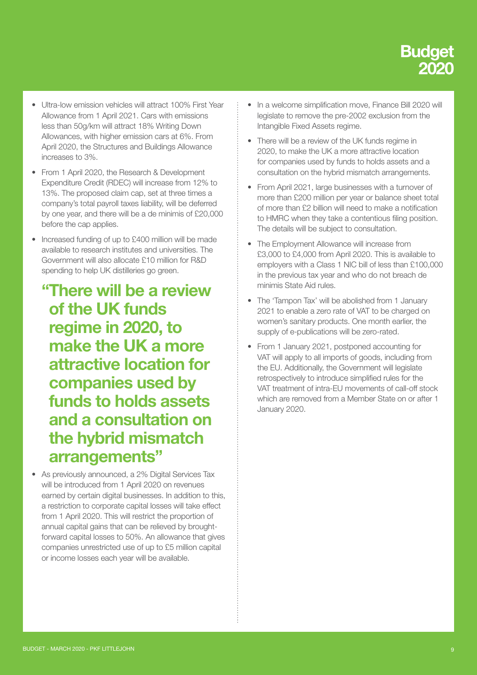

- Ultra-low emission vehicles will attract 100% First Year Allowance from 1 April 2021. Cars with emissions less than 50g/km will attract 18% Writing Down Allowances, with higher emission cars at 6%. From April 2020, the Structures and Buildings Allowance increases to 3%.
- From 1 April 2020, the Research & Development Expenditure Credit (RDEC) will increase from 12% to 13%. The proposed claim cap, set at three times a company's total payroll taxes liability, will be deferred by one year, and there will be a de minimis of £20,000 before the cap applies.
- Increased funding of up to £400 million will be made available to research institutes and universities. The Government will also allocate £10 million for R&D spending to help UK distilleries go green.
	- "There will be a review of the UK funds regime in 2020, to make the UK a more attractive location for companies used by funds to holds assets and a consultation on the hybrid mismatch arrangements"
- As previously announced, a 2% Digital Services Tax will be introduced from 1 April 2020 on revenues earned by certain digital businesses. In addition to this, a restriction to corporate capital losses will take effect from 1 April 2020. This will restrict the proportion of annual capital gains that can be relieved by broughtforward capital losses to 50%. An allowance that gives companies unrestricted use of up to £5 million capital or income losses each year will be available.
- In a welcome simplification move, Finance Bill 2020 will legislate to remove the pre-2002 exclusion from the Intangible Fixed Assets regime.
- There will be a review of the UK funds regime in 2020, to make the UK a more attractive location for companies used by funds to holds assets and a consultation on the hybrid mismatch arrangements.
- From April 2021, large businesses with a turnover of more than £200 million per year or balance sheet total of more than £2 billion will need to make a notification to HMRC when they take a contentious filing position. The details will be subject to consultation.
- The Employment Allowance will increase from £3,000 to £4,000 from April 2020. This is available to employers with a Class 1 NIC bill of less than £100,000 in the previous tax year and who do not breach de minimis State Aid rules.
- The 'Tampon Tax' will be abolished from 1 January 2021 to enable a zero rate of VAT to be charged on women's sanitary products. One month earlier, the supply of e-publications will be zero-rated.
- From 1 January 2021, postponed accounting for VAT will apply to all imports of goods, including from the EU. Additionally, the Government will legislate retrospectively to introduce simplified rules for the VAT treatment of intra-EU movements of call-off stock which are removed from a Member State on or after 1 January 2020.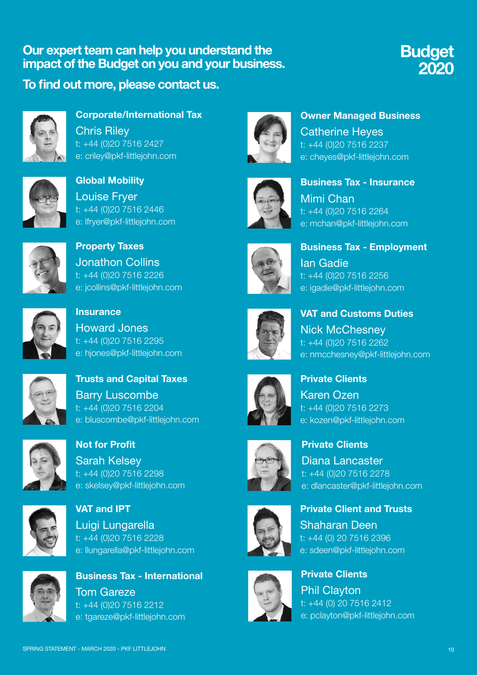### Our expert team can help you understand the impact of the Budget on you and your business.

To find out more, please contact us.



Corporate/International Tax Chris Riley t: +44 (0)20 7516 2427 e: criley@pkf-littlejohn.com



Global Mobility Louise Fryer t: +44 (0)20 7516 2446 e: lfryer@pkf-littlejohn.com



Property Taxes Jonathon Collins t: +44 (0)20 7516 2226 e: jcollins@pkf-littlejohn.com



**Insurance** Howard Jones t: +44 (0)20 7516 2295 e: hjones@pkf-littlejohn.com



Trusts and Capital Taxes Barry Luscombe t: +44 (0)20 7516 2204 e: bluscombe@pkf-littlejohn.com



Not for Profit Sarah Kelsey t: +44 (0)20 7516 2298 e: skelsey@pkf-littlejohn.com



VAT and IPT Luigi Lungarella t: +44 (0)20 7516 2228 e: llungarella@pkf-littlejohn.com



Business Tax - International Tom Gareze t: +44 (0)20 7516 2212 e: tgareze@pkf-littlejohn.com



Owner Managed Business Catherine Heyes t: +44 (0)20 7516 2237 e: cheyes@pkf-littlejohn.com

Budget

2020



Business Tax - Insurance Mimi Chan t: +44 (0)20 7516 2264 e: mchan@pkf-littlejohn.com



Business Tax - Employment Ian Gadie t: +44 (0)20 7516 2256 e: igadie@pkf-littlejohn.com



VAT and Customs Duties Nick McChesney t: +44 (0)20 7516 2262

e: nmcchesney@pkf-littlejohn.com



Private Clients Karen Ozen t: +44 (0)20 7516 2273 e: kozen@pkf-littlejohn.com



Diana Lancaster t: +44 (0)20 7516 2278 e: dlancaster@pkf-littlejohn.com

Private Clients



Private Client and Trusts Shaharan Deen

t: +44 (0) 20 7516 2396 e: sdeen@pkf-littlejohn.com



Private Clients Phil Clayton t: +44 (0) 20 7516 2412 e: pclayton@pkf-littlejohn.com